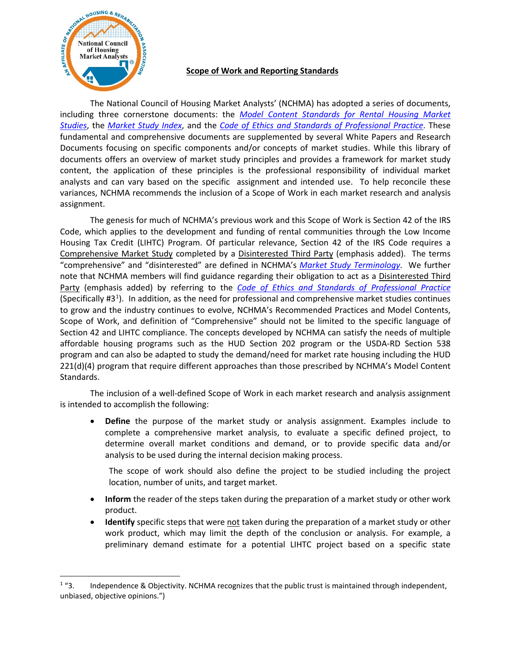

## **Scope of Work and Reporting Standards**

The National Council of Housing Market Analysts' (NCHMA) has adopted a series of documents, including three cornerstone documents: the *[Model Content Standards for Rental Housing](https://www.housingonline.com/wp-content/uploads/2020/03/Model-Content-Standards-for-Rental-Housing-Market-Studies.pdf) Market Studies*, the *[Market Study Index](https://www.housingonline.com/wp-content/uploads/2014/09/Final-Market-Study-Index-V3.0.pdf)*, and the *[Code of Ethics and Standards of Professional Practice](https://www.housingonline.com/wp-content/uploads/2020/03/Code-of-Ethics-03062020.pdf)*. These fundamental and comprehensive documents are supplemented by several White Papers and Research Documents focusing on specific components and/or concepts of market studies. While this library of documents offers an overview of market study principles and provides a framework for market study content, the application of these principles is the professional responsibility of individual market analysts and can vary based on the specific assignment and intended use. To help reconcile these variances, NCHMA recommends the inclusion of a Scope of Work in each market research and analysis assignment.

The genesis for much of NCHMA's previous work and this Scope of Work is Section 42 of the IRS Code, which applies to the development and funding of rental communities through the Low Income Housing Tax Credit (LIHTC) Program. Of particular relevance, Section 42 of the IRS Code requires a Comprehensive Market Study completed by a Disinterested Third Party (emphasis added). The terms "comprehensive" and "disinterested" are defined in NCHMA's *[Market Study Terminology](https://www.housingonline.com/wp-content/uploads/2020/03/Market-Study-Terminology.pdf)*. We further note that NCHMA members will find guidance regarding their obligation to act as a Disinterested Third Party (emphasis added) by referring to the *[Code of Ethics and Standards of Professional Practice](https://www.housingonline.com/wp-content/uploads/2020/03/Code-of-Ethics-03062020.pdf)* (Specifically #3<sup>[1](#page-0-0)</sup>). In addition, as the need for professional and comprehensive market studies continues to grow and the industry continues to evolve, NCHMA's Recommended Practices and Model Contents, Scope of Work, and definition of "Comprehensive" should not be limited to the specific language of Section 42 and LIHTC compliance. The concepts developed by NCHMA can satisfy the needs of multiple affordable housing programs such as the HUD Section 202 program or the USDA-RD Section 538 program and can also be adapted to study the demand/need for market rate housing including the HUD 221(d)(4) program that require different approaches than those prescribed by NCHMA's Model Content Standards.

The inclusion of a well-defined Scope of Work in each market research and analysis assignment is intended to accomplish the following:

• **Define** the purpose of the market study or analysis assignment. Examples include to complete a comprehensive market analysis, to evaluate a specific defined project, to determine overall market conditions and demand, or to provide specific data and/or analysis to be used during the internal decision making process.

The scope of work should also define the project to be studied including the project location, number of units, and target market.

- **Inform** the reader of the steps taken during the preparation of a market study or other work product.
- **Identify** specific steps that were not taken during the preparation of a market study or other work product, which may limit the depth of the conclusion or analysis. For example, a preliminary demand estimate for a potential LIHTC project based on a specific state

<span id="page-0-0"></span> $1$  "3. Independence & Objectivity. NCHMA recognizes that the public trust is maintained through independent, unbiased, objective opinions.")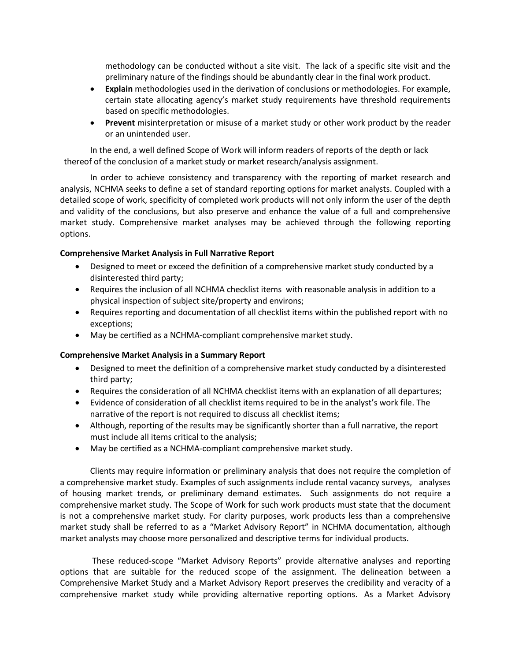methodology can be conducted without a site visit. The lack of a specific site visit and the preliminary nature of the findings should be abundantly clear in the final work product.

- **Explain** methodologies used in the derivation of conclusions or methodologies. For example, certain state allocating agency's market study requirements have threshold requirements based on specific methodologies.
- **Prevent** misinterpretation or misuse of a market study or other work product by the reader or an unintended user.

In the end, a well defined Scope of Work will inform readers of reports of the depth or lack thereof of the conclusion of a market study or market research/analysis assignment.

In order to achieve consistency and transparency with the reporting of market research and analysis, NCHMA seeks to define a set of standard reporting options for market analysts. Coupled with a detailed scope of work, specificity of completed work products will not only inform the user of the depth and validity of the conclusions, but also preserve and enhance the value of a full and comprehensive market study. Comprehensive market analyses may be achieved through the following reporting options.

## **Comprehensive Market Analysis in Full Narrative Report**

- Designed to meet or exceed the definition of a comprehensive market study conducted by a disinterested third party;
- Requires the inclusion of all NCHMA checklist items with reasonable analysis in addition to a physical inspection of subject site/property and environs;
- Requires reporting and documentation of all checklist items within the published report with no exceptions;
- May be certified as a NCHMA-compliant comprehensive market study.

## **Comprehensive Market Analysis in a Summary Report**

- Designed to meet the definition of a comprehensive market study conducted by a disinterested third party;
- Requires the consideration of all NCHMA checklist items with an explanation of all departures;
- Evidence of consideration of all checklist items required to be in the analyst's work file. The narrative of the report is not required to discuss all checklist items;
- Although, reporting of the results may be significantly shorter than a full narrative, the report must include all items critical to the analysis;
- May be certified as a NCHMA-compliant comprehensive market study.

Clients may require information or preliminary analysis that does not require the completion of a comprehensive market study. Examples of such assignments include rental vacancy surveys, analyses of housing market trends, or preliminary demand estimates. Such assignments do not require a comprehensive market study. The Scope of Work for such work products must state that the document is not a comprehensive market study. For clarity purposes, work products less than a comprehensive market study shall be referred to as a "Market Advisory Report" in NCHMA documentation, although market analysts may choose more personalized and descriptive terms for individual products.

These reduced-scope "Market Advisory Reports" provide alternative analyses and reporting options that are suitable for the reduced scope of the assignment. The delineation between a Comprehensive Market Study and a Market Advisory Report preserves the credibility and veracity of a comprehensive market study while providing alternative reporting options. As a Market Advisory